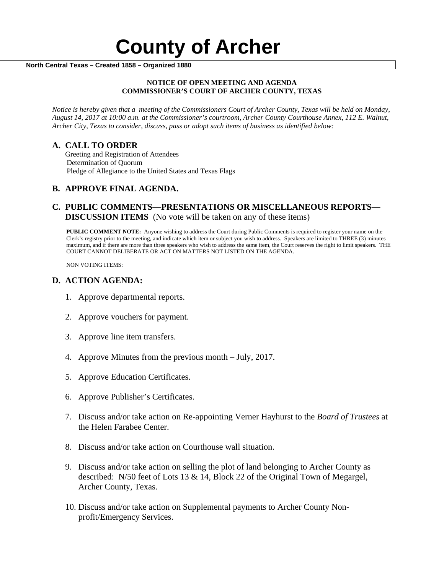#### **NOTICE OF OPEN MEETING AND AGENDA COMMISSIONER'S COURT OF ARCHER COUNTY, TEXAS**

*Notice is hereby given that a meeting of the Commissioners Court of Archer County, Texas will be held on Monday, August 14, 2017 at 10:00 a.m. at the Commissioner's courtroom, Archer County Courthouse Annex, 112 E. Walnut, Archer City, Texas to consider, discuss, pass or adopt such items of business as identified below:*

**A. CALL TO ORDER** Greeting and Registration of Attendees Determination of Quorum Pledge of Allegiance to the United States and Texas Flags

# **B. APPROVE FINAL AGENDA.**

# **C. PUBLIC COMMENTS—PRESENTATIONS OR MISCELLANEOUS REPORTS— DISCUSSION ITEMS** (No vote will be taken on any of these items)

**PUBLIC COMMENT NOTE:** Anyone wishing to address the Court during Public Comments is required to register your name on the Clerk's registry prior to the meeting, and indicate which item or subject you wish to address. Speakers are limited to THREE (3) minutes maximum, and if there are more than three speakers who wish to address the same item, the Court reserves the right to limit speakers. THE COURT CANNOT DELIBERATE OR ACT ON MATTERS NOT LISTED ON THE AGENDA.

NON VOTING ITEMS:

## **D. ACTION AGENDA:**

- 1. Approve departmental reports.
- 2. Approve vouchers for payment.
- 3. Approve line item transfers.
- 4. Approve Minutes from the previous month July, 2017.
- 5. Approve Education Certificates.
- 6. Approve Publisher's Certificates.
- 7. Discuss and/or take action on Re-appointing Verner Hayhurst to the *Board of Trustees* at the Helen Farabee Center.
- 8. Discuss and/or take action on Courthouse wall situation.
- 9. Discuss and/or take action on selling the plot of land belonging to Archer County as described: N/50 feet of Lots 13 & 14, Block 22 of the Original Town of Megargel, Archer County, Texas.
- 10. Discuss and/or take action on Supplemental payments to Archer County Nonprofit/Emergency Services.